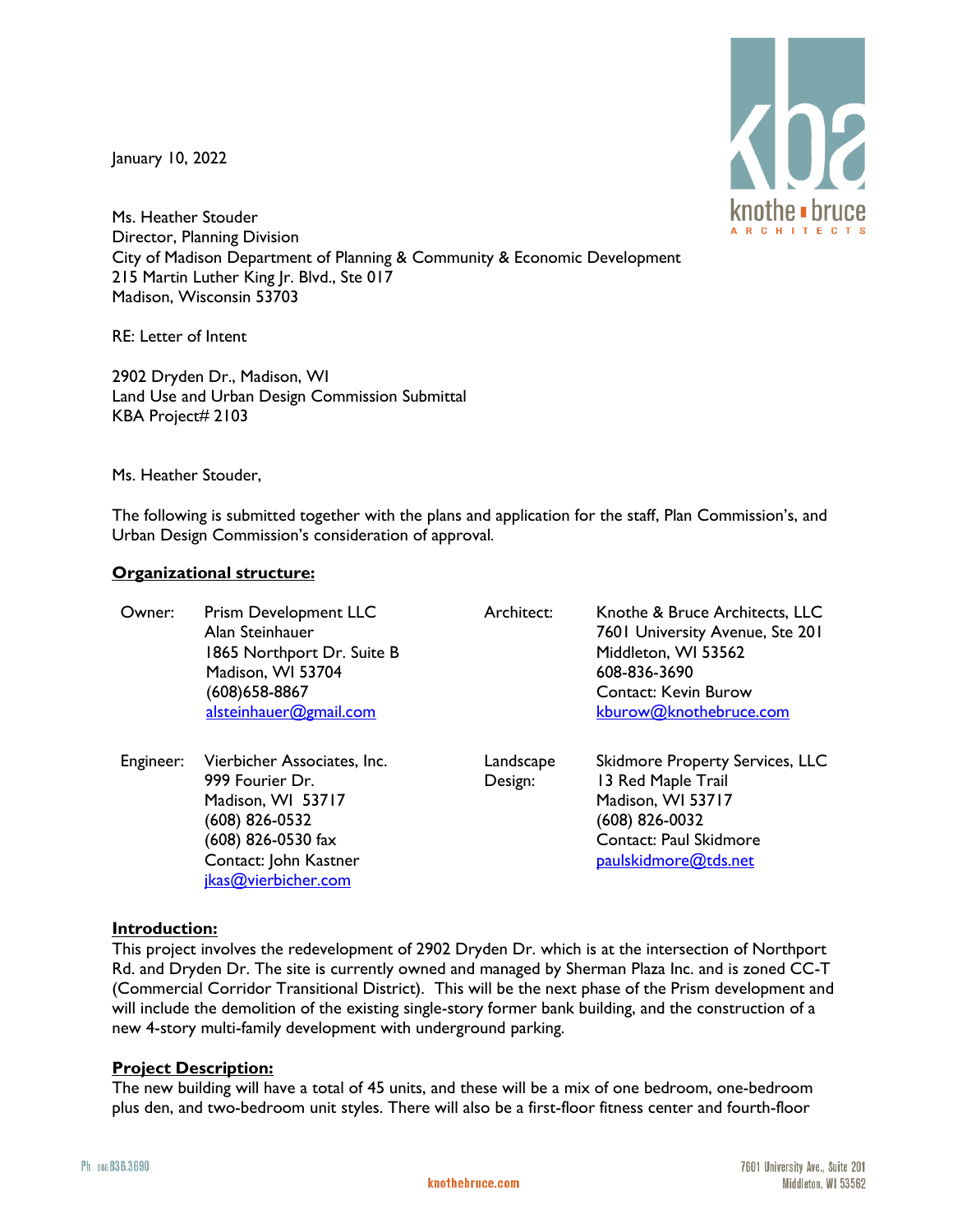January 10, 2022



Ms. Heather Stouder Director, Planning Division City of Madison Department of Planning & Community & Economic Development 215 Martin Luther King Jr. Blvd., Ste 017 Madison, Wisconsin 53703

RE: Letter of Intent

2902 Dryden Dr., Madison, WI Land Use and Urban Design Commission Submittal KBA Project# 2103

Ms. Heather Stouder,

The following is submitted together with the plans and application for the staff, Plan Commission's, and Urban Design Commission's consideration of approval.

# **Organizational structure:**

| Owner:    | Prism Development LLC<br>Alan Steinhauer<br>1865 Northport Dr. Suite B<br>Madison, WI 53704<br>(608)658-8867<br>alsteinhauer@gmail.com                      | Architect:           | Knothe & Bruce Architects, LLC<br>7601 University Avenue, Ste 201<br>Middleton, WI 53562<br>608-836-3690<br><b>Contact: Kevin Burow</b><br>kburow@knothebruce.com |
|-----------|-------------------------------------------------------------------------------------------------------------------------------------------------------------|----------------------|-------------------------------------------------------------------------------------------------------------------------------------------------------------------|
| Engineer: | Vierbicher Associates, Inc.<br>999 Fourier Dr.<br>Madison, WI 53717<br>(608) 826-0532<br>(608) 826-0530 fax<br>Contact: John Kastner<br>jkas@vierbicher.com | Landscape<br>Design: | <b>Skidmore Property Services, LLC</b><br>13 Red Maple Trail<br>Madison, WI 53717<br>(608) 826-0032<br>Contact: Paul Skidmore<br>paulskidmore@tds.net             |

# **Introduction:**

This project involves the redevelopment of 2902 Dryden Dr. which is at the intersection of Northport Rd. and Dryden Dr. The site is currently owned and managed by Sherman Plaza Inc. and is zoned CC-T (Commercial Corridor Transitional District). This will be the next phase of the Prism development and will include the demolition of the existing single-story former bank building, and the construction of a new 4-story multi-family development with underground parking.

# **Project Description:**

The new building will have a total of 45 units, and these will be a mix of one bedroom, one-bedroom plus den, and two-bedroom unit styles. There will also be a first-floor fitness center and fourth-floor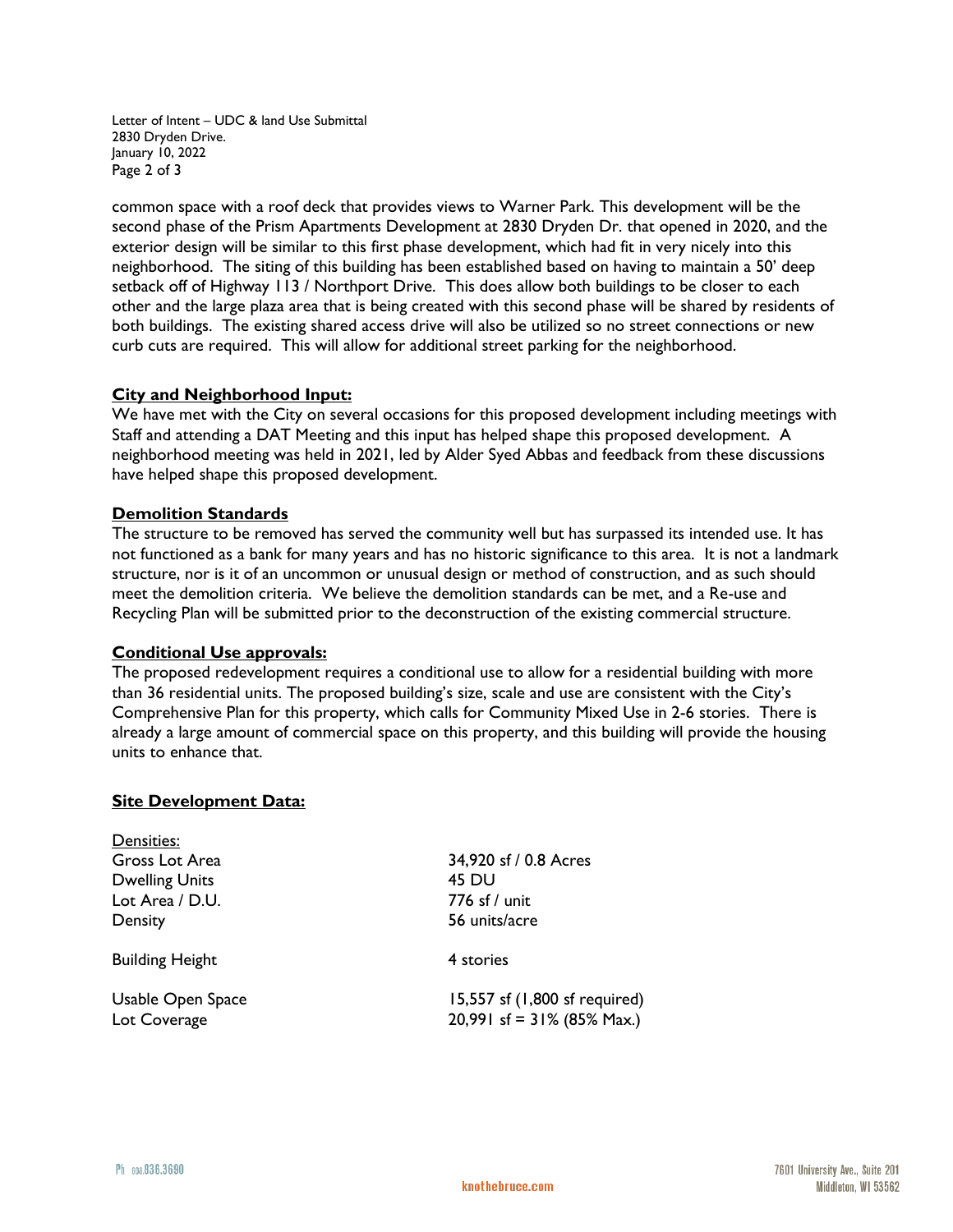Letter of Intent – UDC & land Use Submittal 2830 Dryden Drive. January 10, 2022 Page 2 of 3

common space with a roof deck that provides views to Warner Park. This development will be the second phase of the Prism Apartments Development at 2830 Dryden Dr. that opened in 2020, and the exterior design will be similar to this first phase development, which had fit in very nicely into this neighborhood. The siting of this building has been established based on having to maintain a 50' deep setback off of Highway 113 / Northport Drive. This does allow both buildings to be closer to each other and the large plaza area that is being created with this second phase will be shared by residents of both buildings. The existing shared access drive will also be utilized so no street connections or new curb cuts are required. This will allow for additional street parking for the neighborhood.

# **City and Neighborhood Input:**

We have met with the City on several occasions for this proposed development including meetings with Staff and attending a DAT Meeting and this input has helped shape this proposed development. A neighborhood meeting was held in 2021, led by Alder Syed Abbas and feedback from these discussions have helped shape this proposed development.

### **Demolition Standards**

The structure to be removed has served the community well but has surpassed its intended use. It has not functioned as a bank for many years and has no historic significance to this area. It is not a landmark structure, nor is it of an uncommon or unusual design or method of construction, and as such should meet the demolition criteria. We believe the demolition standards can be met, and a Re-use and Recycling Plan will be submitted prior to the deconstruction of the existing commercial structure.

### **Conditional Use approvals:**

The proposed redevelopment requires a conditional use to allow for a residential building with more than 36 residential units. The proposed building's size, scale and use are consistent with the City's Comprehensive Plan for this property, which calls for Community Mixed Use in 2-6 stories. There is already a large amount of commercial space on this property, and this building will provide the housing units to enhance that.

### **Site Development Data:**

| Densities:                        |                                                                |
|-----------------------------------|----------------------------------------------------------------|
| Gross Lot Area                    | 34,920 sf / 0.8 Acres                                          |
| <b>Dwelling Units</b>             | 45 DU                                                          |
| Lot Area / D.U.                   | 776 sf / unit                                                  |
| Density                           | 56 units/acre                                                  |
| <b>Building Height</b>            | 4 stories                                                      |
| Usable Open Space<br>Lot Coverage | 15,557 sf (1,800 sf required)<br>20,991 sf = $31\%$ (85% Max.) |